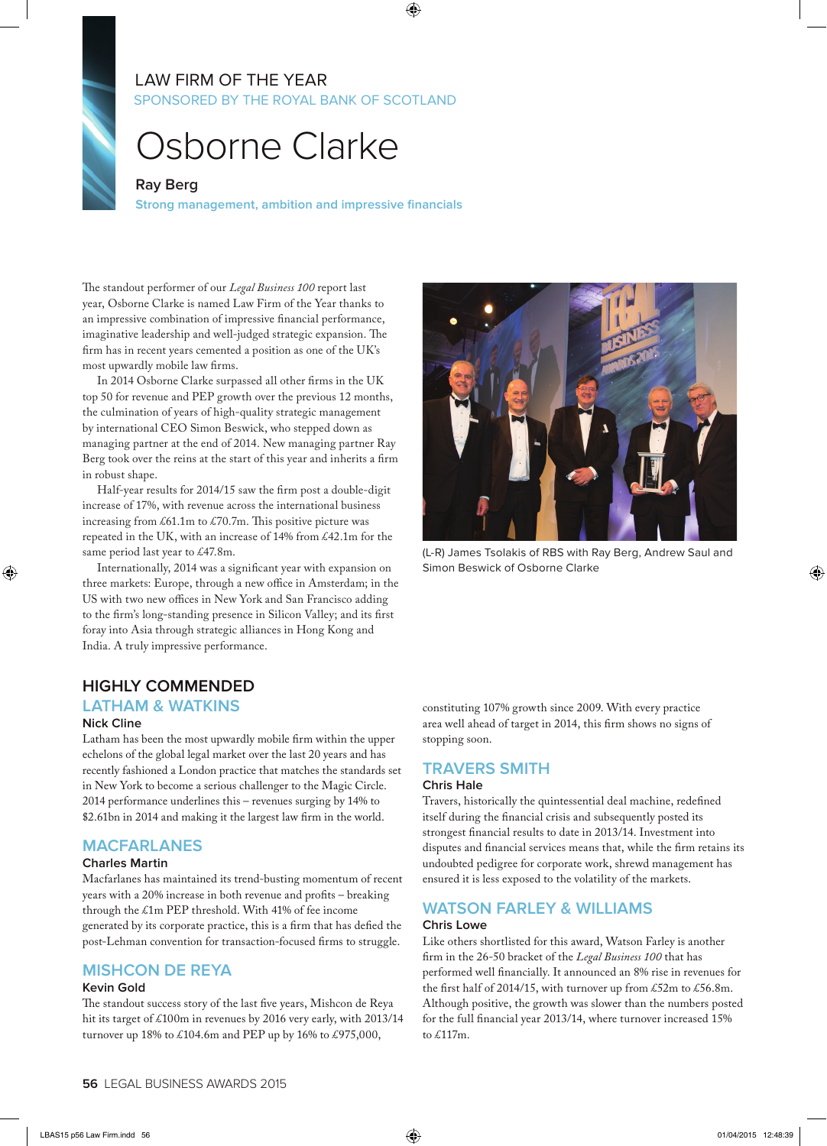# SPONSORED BY THE ROYAL BANK OF SCOTLAND LAW FIRM OF THE YEAR

# Osborne Clarke

#### **Ray Berg**

**Strong management, ambition and impressive financials**

The standout performer of our *Legal Business 100* report last year, Osborne Clarke is named Law Firm of the Year thanks to an impressive combination of impressive financial performance, imaginative leadership and well-judged strategic expansion. The firm has in recent years cemented a position as one of the UK's most upwardly mobile law firms.

In 2014 Osborne Clarke surpassed all other firms in the UK top 50 for revenue and PEP growth over the previous 12 months, the culmination of years of high-quality strategic management by international CEO Simon Beswick, who stepped down as managing partner at the end of 2014. New managing partner Ray Berg took over the reins at the start of this year and inherits a firm in robust shape.

Half-year results for 2014/15 saw the firm post a double-digit increase of 17%, with revenue across the international business increasing from £61.1m to £70.7m. This positive picture was repeated in the UK, with an increase of 14% from £42.1m for the same period last year to £47.8m.

Internationally, 2014 was a significant year with expansion on three markets: Europe, through a new office in Amsterdam; in the US with two new offices in New York and San Francisco adding to the firm's long-standing presence in Silicon Valley; and its first foray into Asia through strategic alliances in Hong Kong and India. A truly impressive performance.

# **HIGHLY COMMENDED**

#### **LATHAM & WATKINS Nick Cline**

Latham has been the most upwardly mobile firm within the upper echelons of the global legal market over the last 20 years and has recently fashioned a London practice that matches the standards set in New York to become a serious challenger to the Magic Circle. 2014 performance underlines this – revenues surging by 14% to \$2.61bn in 2014 and making it the largest law firm in the world.

# **MACFARLANES**

#### **Charles Martin**

Macfarlanes has maintained its trend-busting momentum of recent years with a 20% increase in both revenue and profits – breaking through the £1m PEP threshold. With 41% of fee income generated by its corporate practice, this is a firm that has defied the post-Lehman convention for transaction-focused firms to struggle.

# **MISHCON DE REYA**

### **Kevin Gold**

The standout success story of the last five years, Mishcon de Reya hit its target of £100m in revenues by 2016 very early, with 2013/14 turnover up 18% to £104.6m and PEP up by 16% to £975,000,



(L-R) James Tsolakis of RBS with Ray Berg, Andrew Saul and Simon Beswick of Osborne Clarke

constituting 107% growth since 2009. With every practice area well ahead of target in 2014, this firm shows no signs of stopping soon.

# **TRAVERS SMITH**

#### **Chris Hale**

Travers, historically the quintessential deal machine, redefined itself during the financial crisis and subsequently posted its strongest financial results to date in 2013/14. Investment into disputes and financial services means that, while the firm retains its undoubted pedigree for corporate work, shrewd management has ensured it is less exposed to the volatility of the markets.

#### **WATSON FARLEY & WILLIAMS Chris Lowe**

Like others shortlisted for this award, Watson Farley is another firm in the 26-50 bracket of the *Legal Business 100* that has performed well financially. It announced an 8% rise in revenues for the first half of 2014/15, with turnover up from £52m to £56.8m. Although positive, the growth was slower than the numbers posted for the full financial year 2013/14, where turnover increased 15% to £117m.